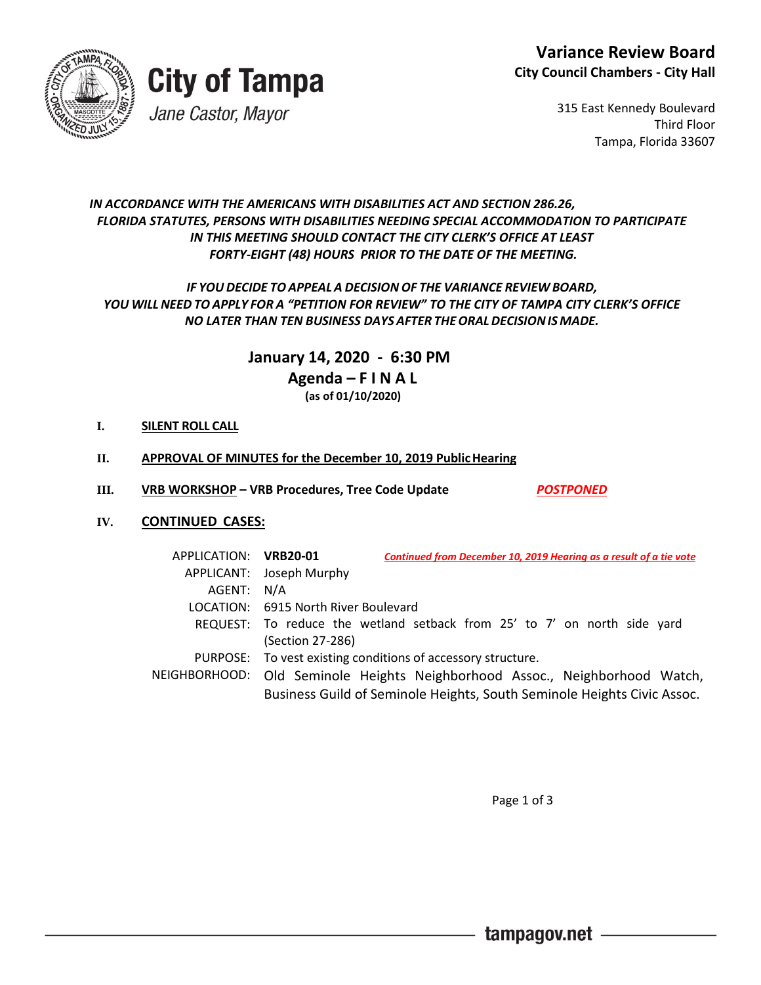



315 East Kennedy Boulevard Third Floor Tampa, Florida 33607

## *IN ACCORDANCE WITH THE AMERICANS WITH DISABILITIES ACT AND SECTION 286.26, FLORIDA STATUTES, PERSONS WITH DISABILITIES NEEDING SPECIAL ACCOMMODATION TO PARTICIPATE IN THIS MEETING SHOULD CONTACT THE CITY CLERK'S OFFICE AT LEAST FORTY-EIGHT (48) HOURS PRIOR TO THE DATE OF THE MEETING.*

## *IF YOUDECIDE TOAPPEAL A DECISION OF THE VARIANCE REVIEW BOARD, YOU WILL NEED TO APPLY FOR A "PETITION FOR REVIEW" TO THE CITY OF TAMPA CITY CLERK'S OFFICE NO LATER THAN TEN BUSINESS DAYS AFTER THEORALDECISIONIS MADE.*

 **January 14, 2020 - 6:30 PM Agenda – F I N A L (as of 01/10/2020)**

## **I. SILENT ROLL CALL**

- **II. APPROVAL OF MINUTES for the December 10, 2019 PublicHearing**
- **III. VRB WORKSHOP – VRB Procedures, Tree Code Update** *POSTPONED*

## **IV. CONTINUED CASES:**

| APPLICATION: VRB20-01 | Continued from December 10, 2019 Hearing as a result of a tie vote          |
|-----------------------|-----------------------------------------------------------------------------|
|                       | APPLICANT: Joseph Murphy                                                    |
| AGENT: N/A            |                                                                             |
|                       | LOCATION: 6915 North River Boulevard                                        |
|                       | REQUEST: To reduce the wetland setback from 25' to 7' on north side yard    |
|                       | (Section 27-286)                                                            |
|                       | PURPOSE: To vest existing conditions of accessory structure.                |
|                       | NEIGHBORHOOD: Old Seminole Heights Neighborhood Assoc., Neighborhood Watch, |
|                       | Business Guild of Seminole Heights, South Seminole Heights Civic Assoc.     |

Page 1 of 3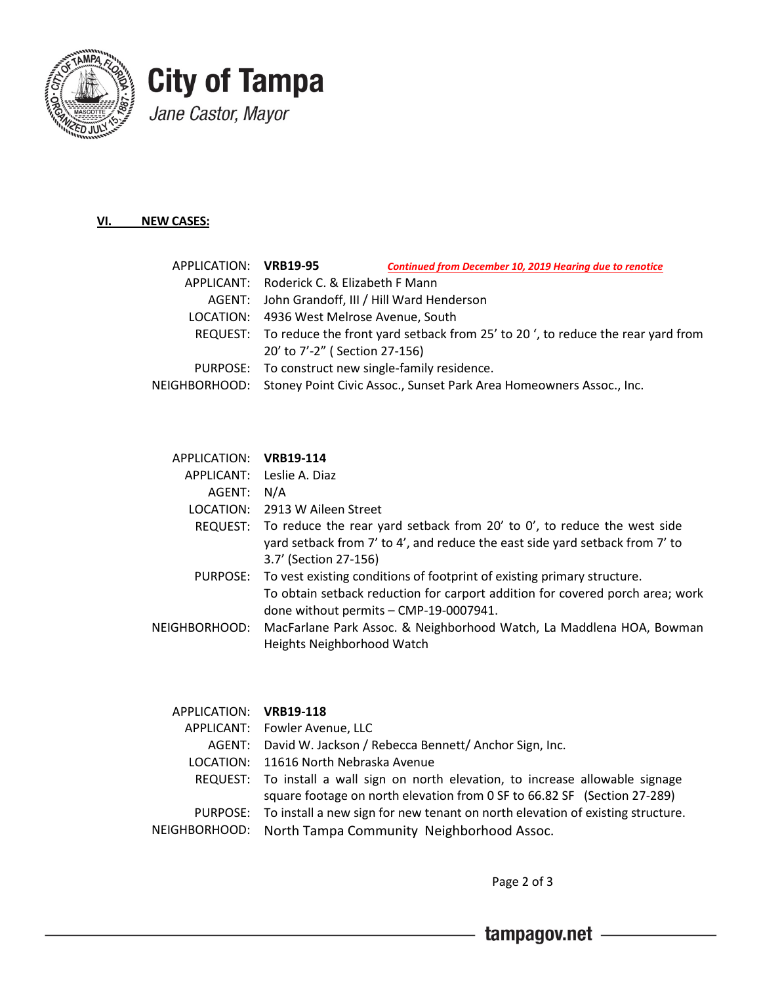



#### **VI. NEW CASES:**

| <b>Continued from December 10, 2019 Hearing due to renotice</b>                         |
|-----------------------------------------------------------------------------------------|
| APPLICANT: Roderick C. & Elizabeth F Mann                                               |
| AGENT: John Grandoff, III / Hill Ward Henderson                                         |
| LOCATION: 4936 West Melrose Avenue, South                                               |
| REQUEST: To reduce the front yard setback from 25' to 20', to reduce the rear yard from |
| 20' to 7'-2" (Section 27-156)                                                           |
| PURPOSE: To construct new single-family residence.                                      |
| NEIGHBORHOOD: Stoney Point Civic Assoc., Sunset Park Area Homeowners Assoc., Inc.       |
| APPLICATION: VRB19-95                                                                   |

#### APPLICATION: **VRB19-114**

|               | APPLICANT: Leslie A. Diaz                                                                                                                                                                                   |
|---------------|-------------------------------------------------------------------------------------------------------------------------------------------------------------------------------------------------------------|
| AGENT: N/A    |                                                                                                                                                                                                             |
|               | LOCATION: 2913 W Aileen Street                                                                                                                                                                              |
|               | REQUEST: To reduce the rear yard setback from 20' to 0', to reduce the west side<br>yard setback from 7' to 4', and reduce the east side yard setback from 7' to<br>3.7' (Section 27-156)                   |
|               | PURPOSE: To vest existing conditions of footprint of existing primary structure.<br>To obtain setback reduction for carport addition for covered porch area; work<br>done without permits - CMP-19-0007941. |
| NEIGHBORHOOD: | MacFarlane Park Assoc. & Neighborhood Watch, La Maddlena HOA, Bowman<br>Heights Neighborhood Watch                                                                                                          |

### APPLICATION: **VRB19-118**

| APPLICANT: Fowler Avenue, LLC                                                           |
|-----------------------------------------------------------------------------------------|
| AGENT: David W. Jackson / Rebecca Bennett/ Anchor Sign, Inc.                            |
| LOCATION: 11616 North Nebraska Avenue                                                   |
| REQUEST: To install a wall sign on north elevation, to increase allowable signage       |
| square footage on north elevation from 0 SF to 66.82 SF (Section 27-289)                |
| PURPOSE: To install a new sign for new tenant on north elevation of existing structure. |
| NEIGHBORHOOD: North Tampa Community Neighborhood Assoc.                                 |

Page 2 of 3